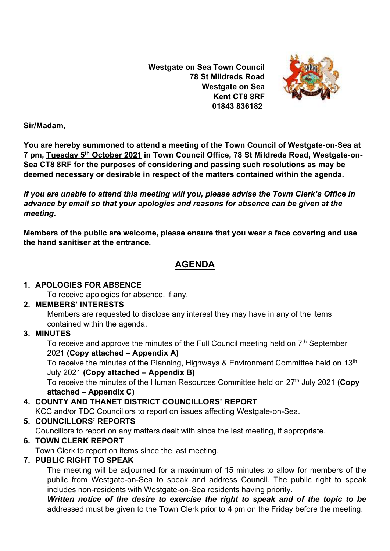**Westgate on Sea Town Council 78 St Mildreds Road Westgate on Sea Kent CT8 8RF 01843 836182**



**Sir/Madam,** 

**You are hereby summoned to attend a meeting of the Town Council of Westgate-on-Sea at 7 pm, Tuesday 5 th October 2021 in Town Council Office, 78 St Mildreds Road, Westgate-on-Sea CT8 8RF for the purposes of considering and passing such resolutions as may be deemed necessary or desirable in respect of the matters contained within the agenda.**

*If you are unable to attend this meeting will you, please advise the Town Clerk's Office in advance by email so that your apologies and reasons for absence can be given at the meeting***.**

**Members of the public are welcome, please ensure that you wear a face covering and use the hand sanitiser at the entrance.** 

# **AGENDA**

#### **1. APOLOGIES FOR ABSENCE**

To receive apologies for absence, if any.

#### **2. MEMBERS' INTERESTS**

Members are requested to disclose any interest they may have in any of the items contained within the agenda.

# **3. MINUTES**

To receive and approve the minutes of the Full Council meeting held on 7<sup>th</sup> September 2021 **(Copy attached – Appendix A)**

To receive the minutes of the Planning, Highways & Environment Committee held on 13<sup>th</sup> July 2021 **(Copy attached – Appendix B)**

To receive the minutes of the Human Resources Committee held on 27<sup>th</sup> July 2021 **(Copy attached – Appendix C)**

# **4. COUNTY AND THANET DISTRICT COUNCILLORS' REPORT**

KCC and/or TDC Councillors to report on issues affecting Westgate-on-Sea.

# **5. COUNCILLORS' REPORTS**

Councillors to report on any matters dealt with since the last meeting, if appropriate.

# **6. TOWN CLERK REPORT**

Town Clerk to report on items since the last meeting.

# **7. PUBLIC RIGHT TO SPEAK**

The meeting will be adjourned for a maximum of 15 minutes to allow for members of the public from Westgate-on-Sea to speak and address Council. The public right to speak includes non-residents with Westgate-on-Sea residents having priority.

*Written notice of the desire to exercise the right to speak and of the topic to be*  addressed must be given to the Town Clerk prior to 4 pm on the Friday before the meeting.